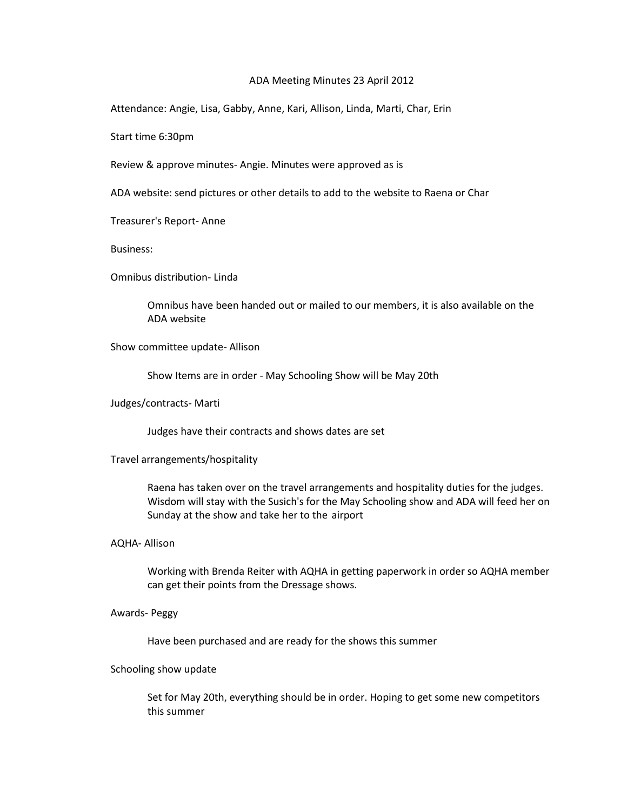## ADA Meeting Minutes 23 April 2012

Attendance: Angie, Lisa, Gabby, Anne, Kari, Allison, Linda, Marti, Char, Erin

Start time 6:30pm

Review & approve minutes- Angie. Minutes were approved as is

ADA website: send pictures or other details to add to the website to Raena or Char

Treasurer's Report- Anne

Business:

Omnibus distribution- Linda

Omnibus have been handed out or mailed to our members, it is also available on the ADA website

Show committee update- Allison

Show Items are in order - May Schooling Show will be May 20th

Judges/contracts- Marti

Judges have their contracts and shows dates are set

Travel arrangements/hospitality

Raena has taken over on the travel arrangements and hospitality duties for the judges. Wisdom will stay with the Susich's for the May Schooling show and ADA will feed her on Sunday at the show and take her to the airport

AQHA- Allison

Working with Brenda Reiter with AQHA in getting paperwork in order so AQHA member can get their points from the Dressage shows.

Awards- Peggy

Have been purchased and are ready for the shows this summer

## Schooling show update

Set for May 20th, everything should be in order. Hoping to get some new competitors this summer